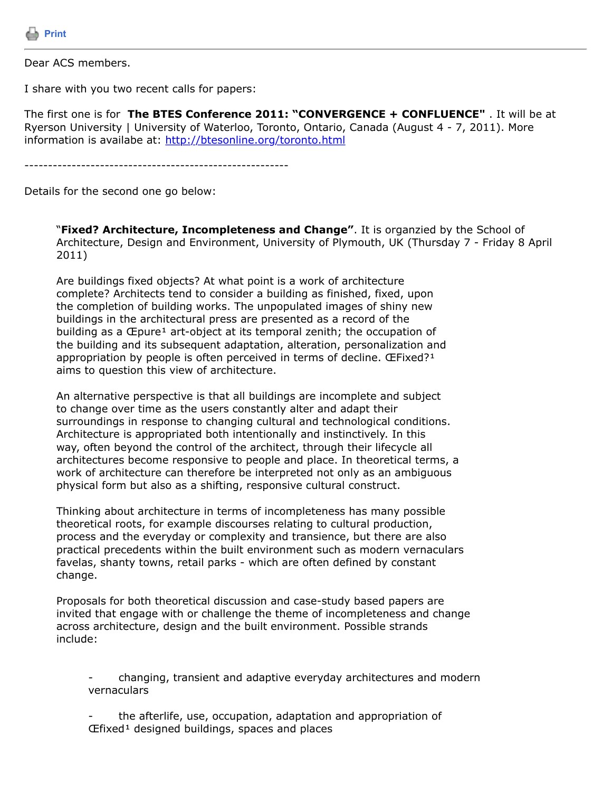

Dear ACS members.

I share with you two recent calls for papers:

The first one is for **The BTES Conference 2011: "CONVERGENCE + CONFLUENCE"** . It will be at Ryerson University | University of Waterloo, Toronto, Ontario, Canada (August 4 - 7, 2011). More information is availabe at:<http://btesonline.org/toronto.html>

--------------------------------------------------------

Details for the second one go below:

"**Fixed? Architecture, Incompleteness and Change"**. It is organzied by the School of Architecture, Design and Environment, University of Plymouth, UK (Thursday 7 - Friday 8 April 2011)

Are buildings fixed objects? At what point is a work of architecture complete? Architects tend to consider a building as finished, fixed, upon the completion of building works. The unpopulated images of shiny new buildings in the architectural press are presented as a record of the building as a  $E$  pure<sup>1</sup> art-object at its temporal zenith; the occupation of the building and its subsequent adaptation, alteration, personalization and appropriation by people is often perceived in terms of decline. ŒFixed?<sup>1</sup> aims to question this view of architecture.

An alternative perspective is that all buildings are incomplete and subject to change over time as the users constantly alter and adapt their surroundings in response to changing cultural and technological conditions. Architecture is appropriated both intentionally and instinctively. In this way, often beyond the control of the architect, through their lifecycle all architectures become responsive to people and place. In theoretical terms, a work of architecture can therefore be interpreted not only as an ambiguous physical form but also as a shifting, responsive cultural construct.

Thinking about architecture in terms of incompleteness has many possible theoretical roots, for example discourses relating to cultural production, process and the everyday or complexity and transience, but there are also practical precedents within the built environment such as modern vernaculars favelas, shanty towns, retail parks - which are often defined by constant change.

Proposals for both theoretical discussion and case-study based papers are invited that engage with or challenge the theme of incompleteness and change across architecture, design and the built environment. Possible strands include:

- changing, transient and adaptive everyday architectures and modern vernaculars

- the afterlife, use, occupation, adaptation and appropriation of  $E$ fixed<sup>1</sup> designed buildings, spaces and places